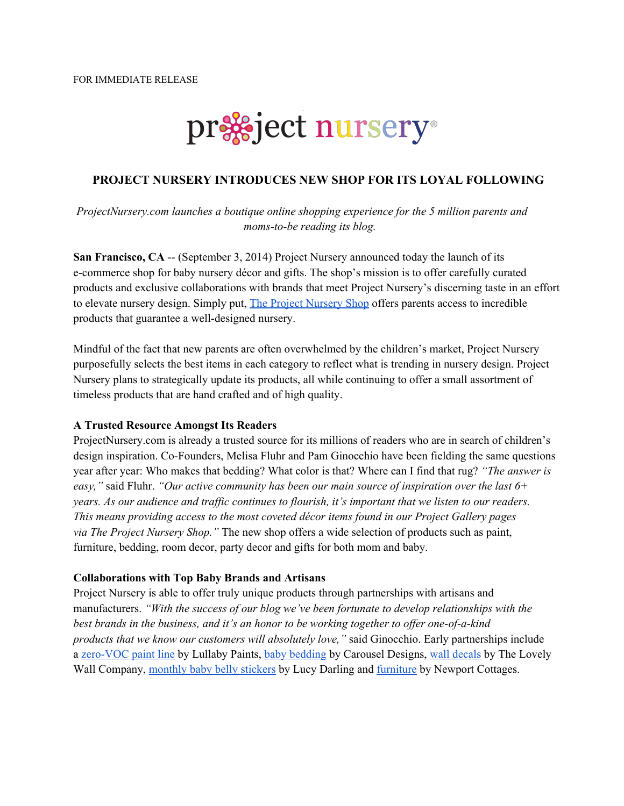

## **PROJECT NURSERY INTRODUCES NEW SHOP FOR ITS LOYAL FOLLOWING**

*ProjectNursery.com launches a boutique online shopping experience for the 5 million parents and momstobe reading its blog.*

**San Francisco, CA** -- (September 3, 2014) Project Nursery announced today the launch of its ecommerce shop for baby nursery décor and gifts. The shop's mission is to offer carefully curated products and exclusive collaborations with brands that meet Project Nursery's discerning taste in an effort to elevate nursery design. Simply put, The Project [Nursery](http://www.google.com/url?q=http%3A%2F%2Fshop.projectnursery.com%2F&sa=D&sntz=1&usg=AFQjCNHVDDTCkSBzdwAztRQPsjtrlUvChw) Shop offers parents access to incredible products that guarantee a well-designed nursery.

Mindful of the fact that new parents are often overwhelmed by the children's market, Project Nursery purposefully selects the best items in each category to reflect what is trending in nursery design. Project Nursery plans to strategically update its products, all while continuing to offer a small assortment of timeless products that are hand crafted and of high quality.

## **A Trusted Resource Amongst Its Readers**

ProjectNursery.com is already a trusted source for its millions of readers who are in search of children's design inspiration. Co-Founders, Melisa Fluhr and Pam Ginocchio have been fielding the same questions year after year: Who makes that bedding? What color is that? Where can I find that rug? *"The answer is easy,"* said Fluhr. *"Our active community has been our main source of inspiration over the last 6+* years. As our audience and traffic continues to flourish, it's important that we listen to our readers. *This means providing access to the most coveted décor items found in our Project Gallery pages via The Project Nursery Shop."* The new shop offers a wide selection of products such as paint, furniture, bedding, room decor, party decor and gifts for both mom and baby.

## **Collaborations with Top Baby Brands and Artisans**

Project Nursery is able to offer truly unique products through partnerships with artisans and manufacturers. *"With the success of our blog we've been fortunate to develop relationships with the best brands in the business, and it's an honor to be working together to of er oneofakind products that we know our customers will absolutely love,"* said Ginocchio. Early partnerships include a zero-VOC paint line by Lullaby Paints, baby [bedding](http://www.google.com/url?q=http%3A%2F%2Fshop.projectnursery.com%2Fsearch%3Fq%3Dcarousel&sa=D&sntz=1&usg=AFQjCNErerV7MRSzJe5s1HY6ShERbgYYKA) by Carousel Designs, wall [decals](http://www.google.com/url?q=http%3A%2F%2Fshop.projectnursery.com%2Fsearch%3Fq%3Dwall%2Bdecals&sa=D&sntz=1&usg=AFQjCNFptEqwOL7SoiV49AVkNu0lrq9HPg) by The Lovely Wall Company, [monthly](http://www.google.com/url?q=http%3A%2F%2Fshop.projectnursery.com%2Fsearch%3Fq%3Dmonthly%2Bstickers&sa=D&sntz=1&usg=AFQjCNEbo5H1KTu1ZT-2kRJhTst-_QvhOA) baby belly stickers by Lucy Darling and [furniture](http://www.google.com/url?q=http%3A%2F%2Fshop.projectnursery.com%2Fsearch%3Fq%3Dnewport%2Bcottages&sa=D&sntz=1&usg=AFQjCNEQ7uLjhadg08cLwOr0NepS3l0XPQ) by Newport Cottages.